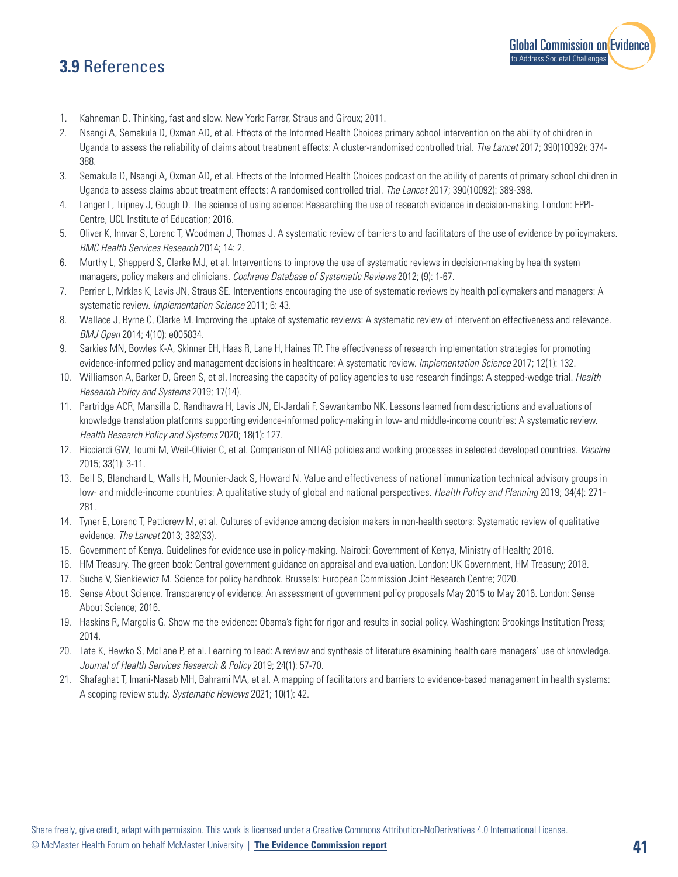## **3.9** References



- 1. Kahneman D. Thinking, fast and slow. New York: Farrar, Straus and Giroux; 2011.
- 2. Nsangi A, Semakula D, Oxman AD, et al. Effects of the Informed Health Choices primary school intervention on the ability of children in Uganda to assess the reliability of claims about treatment effects: A cluster-randomised controlled trial. *The Lancet* 2017; 390(10092): 374- 388.
- 3. Semakula D, Nsangi A, Oxman AD, et al. Effects of the Informed Health Choices podcast on the ability of parents of primary school children in Uganda to assess claims about treatment effects: A randomised controlled trial. *The Lancet* 2017; 390(10092): 389-398.
- 4. Langer L, Tripney J, Gough D. The science of using science: Researching the use of research evidence in decision-making. London: EPPI-Centre, UCL Institute of Education; 2016.
- 5. Oliver K, Innvar S, Lorenc T, Woodman J, Thomas J. A systematic review of barriers to and facilitators of the use of evidence by policymakers. *BMC Health Services Research* 2014; 14: 2.
- 6. Murthy L, Shepperd S, Clarke MJ, et al. Interventions to improve the use of systematic reviews in decision-making by health system managers, policy makers and clinicians. *Cochrane Database of Systematic Reviews* 2012; (9): 1-67.
- 7. Perrier L, Mrklas K, Lavis JN, Straus SE. Interventions encouraging the use of systematic reviews by health policymakers and managers: A systematic review. *Implementation Science* 2011; 6: 43.
- 8. Wallace J, Byrne C, Clarke M. Improving the uptake of systematic reviews: A systematic review of intervention effectiveness and relevance. *BMJ Open* 2014; 4(10): e005834.
- 9. Sarkies MN, Bowles K-A, Skinner EH, Haas R, Lane H, Haines TP. The effectiveness of research implementation strategies for promoting evidence-informed policy and management decisions in healthcare: A systematic review. *Implementation Science* 2017; 12(1): 132.
- 10. Williamson A, Barker D, Green S, et al. Increasing the capacity of policy agencies to use research findings: A stepped-wedge trial. *Health Research Policy and Systems* 2019; 17(14).
- 11. Partridge ACR, Mansilla C, Randhawa H, Lavis JN, El-Jardali F, Sewankambo NK. Lessons learned from descriptions and evaluations of knowledge translation platforms supporting evidence-informed policy-making in low- and middle-income countries: A systematic review. *Health Research Policy and Systems* 2020; 18(1): 127.
- 12. Ricciardi GW, Toumi M, Weil-Olivier C, et al. Comparison of NITAG policies and working processes in selected developed countries. *Vaccine* 2015; 33(1): 3-11.
- 13. Bell S, Blanchard L, Walls H, Mounier-Jack S, Howard N. Value and effectiveness of national immunization technical advisory groups in low- and middle-income countries: A qualitative study of global and national perspectives. *Health Policy and Planning* 2019; 34(4): 271- 281.
- 14. Tyner E, Lorenc T, Petticrew M, et al. Cultures of evidence among decision makers in non-health sectors: Systematic review of qualitative evidence. *The Lancet* 2013; 382(S3).
- 15. Government of Kenya. Guidelines for evidence use in policy-making. Nairobi: Government of Kenya, Ministry of Health; 2016.
- 16. HM Treasury. The green book: Central government guidance on appraisal and evaluation. London: UK Government, HM Treasury; 2018.
- 17. Sucha V, Sienkiewicz M. Science for policy handbook. Brussels: European Commission Joint Research Centre; 2020.
- 18. Sense About Science. Transparency of evidence: An assessment of government policy proposals May 2015 to May 2016. London: Sense About Science; 2016.
- 19. Haskins R, Margolis G. Show me the evidence: Obama's fight for rigor and results in social policy. Washington: Brookings Institution Press; 2014.
- 20. Tate K, Hewko S, McLane P, et al. Learning to lead: A review and synthesis of literature examining health care managers' use of knowledge. *Journal of Health Services Research & Policy* 2019; 24(1): 57-70.
- 21. Shafaghat T, Imani-Nasab MH, Bahrami MA, et al. A mapping of facilitators and barriers to evidence-based management in health systems: A scoping review study. *Systematic Reviews* 2021; 10(1): 42.